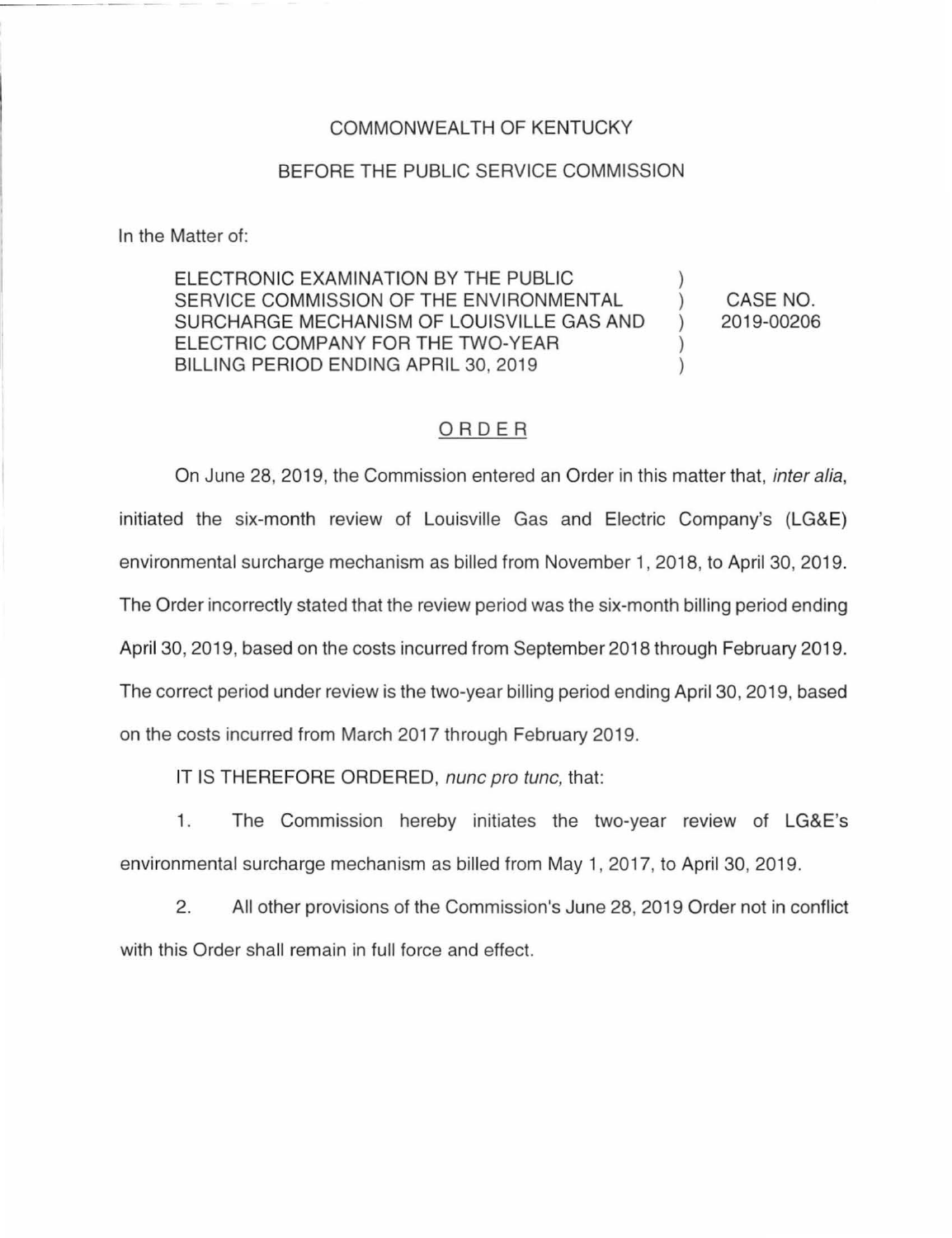## COMMONWEALTH OF KENTUCKY

## BEFORE THE PUBLIC SERVICE COMMISSION

In the Matter of:

ELECTRONIC EXAMINATION BY THE PUBLIC SERVICE COMMISSION OF THE ENVIRONMENTAL SURCHARGE MECHANISM OF LOUISVILLE GAS AND ) ELECTRIC COMPANY FOR THE TWO-YEAR  $)$ BILLING PERIOD ENDING APRIL 30, 2019 )

CASE NO. 2019-00206

## ORDER

On June 28, 2019, the Commission entered an Order in this matter that, inter alia, initiated the six-month review of Louisville Gas and Electric Company's (LG&E) environmental surcharge mechanism as billed from November 1, 2018, to April 30, 2019. The Order incorrectly stated that the review period was the six-month billing period ending April 30, 2019, based on the costs incurred from September 2018 through February 2019. The correct period under review is the two-year billing period ending April 30, 2019, based on the costs incurred from March 2017 through February 2019.

IT IS THEREFORE ORDERED, nunc pro tunc, that:

1. The Commission hereby initiates the two-year review of LG&E's environmental surcharge mechanism as billed from May 1, 2017, to April 30, 2019.

2. All other provisions of the Commission's June 28, 2019 Order not in conflict with this Order shall remain in full force and effect.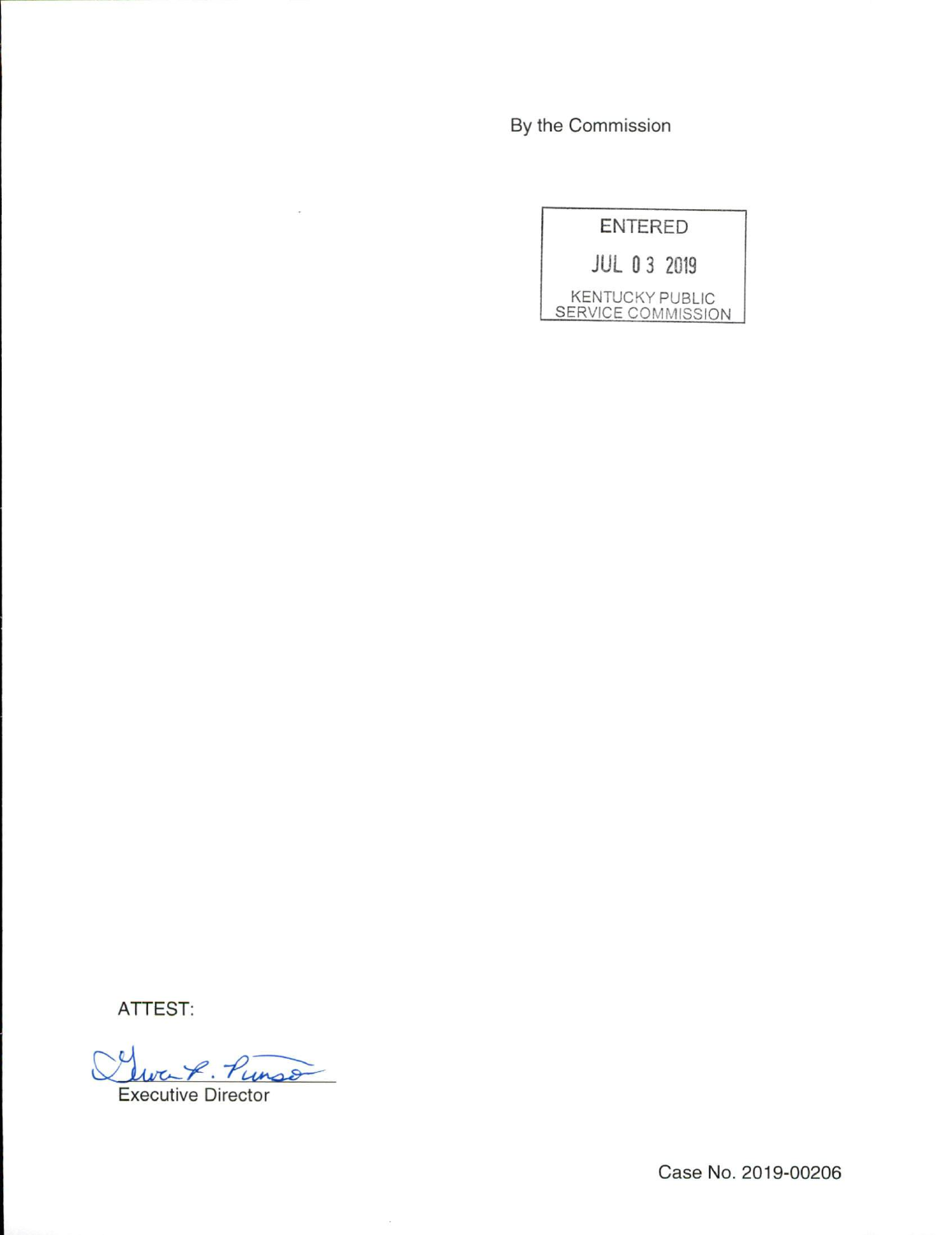By the Commission

|                           | ENTERED |                        |
|---------------------------|---------|------------------------|
|                           |         | <b>JUL 0 3 2019</b>    |
| <b>SERVICE COMMISSION</b> |         | <b>KENTUCKY PUBLIC</b> |

ATTEST:

Two-8. Punso Executive Director

 $\bar{\nu}$ 

Case No. 2019-00206